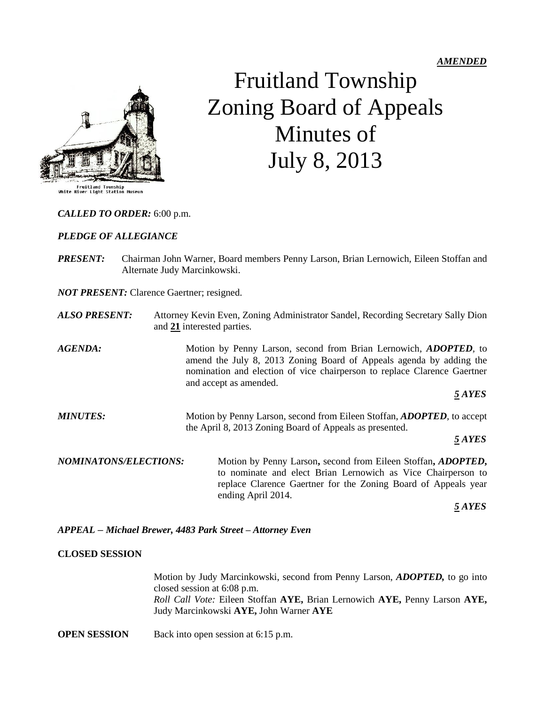

# Fruitland Township Zoning Board of Appeals Minutes of July 8, 2013

#### *CALLED TO ORDER:* 6:00 p.m.

#### *PLEDGE OF ALLEGIANCE*

*PRESENT:* Chairman John Warner, Board members Penny Larson, Brian Lernowich, Eileen Stoffan and Alternate Judy Marcinkowski.

*NOT PRESENT:* Clarence Gaertner; resigned.

- *ALSO PRESENT:* Attorney Kevin Even, Zoning Administrator Sandel, Recording Secretary Sally Dion and **21** interested parties.
- *AGENDA:* Motion by Penny Larson, second from Brian Lernowich, *ADOPTED,* to amend the July 8, 2013 Zoning Board of Appeals agenda by adding the nomination and election of vice chairperson to replace Clarence Gaertner and accept as amended.

 *5 AYES*

*MINUTES:* Motion by Penny Larson, second from Eileen Stoffan, *ADOPTED,* to accept the April 8, 2013 Zoning Board of Appeals as presented.

*5 AYES*

*NOMINATONS/ELECTIONS:* Motion by Penny Larson**,** second from Eileen Stoffan**,** *ADOPTED***,**  to nominate and elect Brian Lernowich as Vice Chairperson to replace Clarence Gaertner for the Zoning Board of Appeals year ending April 2014.

 *5 AYES*

*APPEAL – Michael Brewer, 4483 Park Street – Attorney Even*

# **CLOSED SESSION**

Motion by Judy Marcinkowski, second from Penny Larson, *ADOPTED,* to go into closed session at 6:08 p.m. *Roll Call Vote:* Eileen Stoffan **AYE,** Brian Lernowich **AYE,** Penny Larson **AYE,** Judy Marcinkowski **AYE,** John Warner **AYE**

**OPEN SESSION** Back into open session at 6:15 p.m.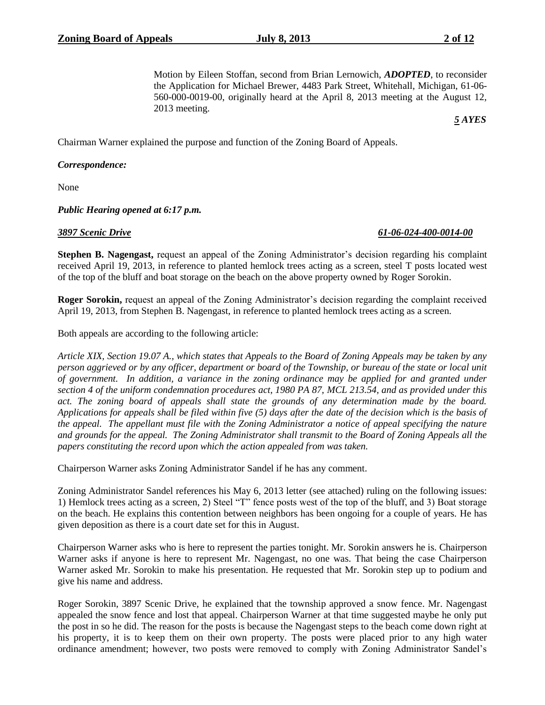Motion by Eileen Stoffan, second from Brian Lernowich, *ADOPTED*, to reconsider the Application for Michael Brewer, 4483 Park Street, Whitehall, Michigan, 61-06- 560-000-0019-00, originally heard at the April 8, 2013 meeting at the August 12, 2013 meeting.

*5 AYES*

Chairman Warner explained the purpose and function of the Zoning Board of Appeals.

# *Correspondence:*

None

#### *Public Hearing opened at 6:17 p.m.*

*3897 Scenic Drive 61-06-024-400-0014-00*

**Stephen B. Nagengast,** request an appeal of the Zoning Administrator's decision regarding his complaint received April 19, 2013, in reference to planted hemlock trees acting as a screen, steel T posts located west of the top of the bluff and boat storage on the beach on the above property owned by Roger Sorokin.

**Roger Sorokin,** request an appeal of the Zoning Administrator's decision regarding the complaint received April 19, 2013, from Stephen B. Nagengast, in reference to planted hemlock trees acting as a screen.

Both appeals are according to the following article:

*Article XIX, Section 19.07 A., which states that Appeals to the Board of Zoning Appeals may be taken by any person aggrieved or by any officer, department or board of the Township, or bureau of the state or local unit of government. In addition, a variance in the zoning ordinance may be applied for and granted under section 4 of the uniform condemnation procedures act, 1980 PA 87, MCL 213.54, and as provided under this act. The zoning board of appeals shall state the grounds of any determination made by the board. Applications for appeals shall be filed within five (5) days after the date of the decision which is the basis of the appeal. The appellant must file with the Zoning Administrator a notice of appeal specifying the nature and grounds for the appeal. The Zoning Administrator shall transmit to the Board of Zoning Appeals all the papers constituting the record upon which the action appealed from was taken.*

Chairperson Warner asks Zoning Administrator Sandel if he has any comment.

Zoning Administrator Sandel references his May 6, 2013 letter (see attached) ruling on the following issues: 1) Hemlock trees acting as a screen, 2) Steel "T" fence posts west of the top of the bluff, and 3) Boat storage on the beach. He explains this contention between neighbors has been ongoing for a couple of years. He has given deposition as there is a court date set for this in August.

Chairperson Warner asks who is here to represent the parties tonight. Mr. Sorokin answers he is. Chairperson Warner asks if anyone is here to represent Mr. Nagengast, no one was. That being the case Chairperson Warner asked Mr. Sorokin to make his presentation. He requested that Mr. Sorokin step up to podium and give his name and address.

Roger Sorokin, 3897 Scenic Drive, he explained that the township approved a snow fence. Mr. Nagengast appealed the snow fence and lost that appeal. Chairperson Warner at that time suggested maybe he only put the post in so he did. The reason for the posts is because the Nagengast steps to the beach come down right at his property, it is to keep them on their own property. The posts were placed prior to any high water ordinance amendment; however, two posts were removed to comply with Zoning Administrator Sandel's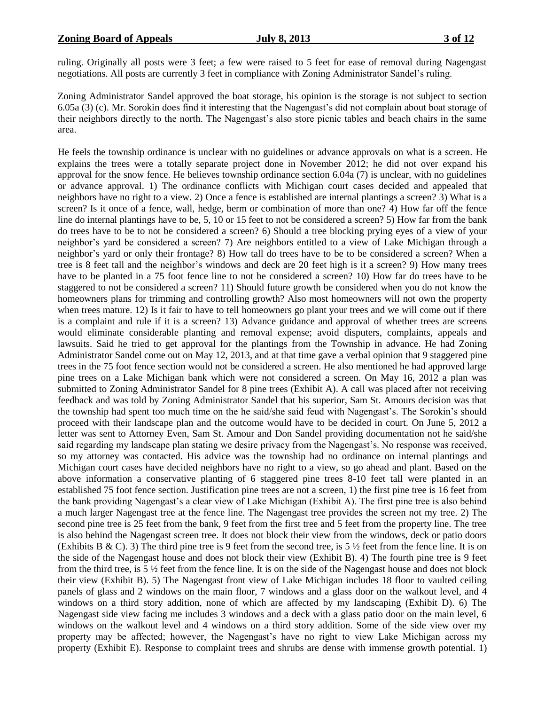ruling. Originally all posts were 3 feet; a few were raised to 5 feet for ease of removal during Nagengast negotiations. All posts are currently 3 feet in compliance with Zoning Administrator Sandel's ruling.

Zoning Administrator Sandel approved the boat storage, his opinion is the storage is not subject to section 6.05a (3) (c). Mr. Sorokin does find it interesting that the Nagengast's did not complain about boat storage of their neighbors directly to the north. The Nagengast's also store picnic tables and beach chairs in the same area.

He feels the township ordinance is unclear with no guidelines or advance approvals on what is a screen. He explains the trees were a totally separate project done in November 2012; he did not over expand his approval for the snow fence. He believes township ordinance section 6.04a (7) is unclear, with no guidelines or advance approval. 1) The ordinance conflicts with Michigan court cases decided and appealed that neighbors have no right to a view. 2) Once a fence is established are internal plantings a screen? 3) What is a screen? Is it once of a fence, wall, hedge, berm or combination of more than one? 4) How far off the fence line do internal plantings have to be, 5, 10 or 15 feet to not be considered a screen? 5) How far from the bank do trees have to be to not be considered a screen? 6) Should a tree blocking prying eyes of a view of your neighbor's yard be considered a screen? 7) Are neighbors entitled to a view of Lake Michigan through a neighbor's yard or only their frontage? 8) How tall do trees have to be to be considered a screen? When a tree is 8 feet tall and the neighbor's windows and deck are 20 feet high is it a screen? 9) How many trees have to be planted in a 75 foot fence line to not be considered a screen? 10) How far do trees have to be staggered to not be considered a screen? 11) Should future growth be considered when you do not know the homeowners plans for trimming and controlling growth? Also most homeowners will not own the property when trees mature. 12) Is it fair to have to tell homeowners go plant your trees and we will come out if there is a complaint and rule if it is a screen? 13) Advance guidance and approval of whether trees are screens would eliminate considerable planting and removal expense; avoid disputers, complaints, appeals and lawsuits. Said he tried to get approval for the plantings from the Township in advance. He had Zoning Administrator Sandel come out on May 12, 2013, and at that time gave a verbal opinion that 9 staggered pine trees in the 75 foot fence section would not be considered a screen. He also mentioned he had approved large pine trees on a Lake Michigan bank which were not considered a screen. On May 16, 2012 a plan was submitted to Zoning Administrator Sandel for 8 pine trees (Exhibit A). A call was placed after not receiving feedback and was told by Zoning Administrator Sandel that his superior, Sam St. Amours decision was that the township had spent too much time on the he said/she said feud with Nagengast's. The Sorokin's should proceed with their landscape plan and the outcome would have to be decided in court. On June 5, 2012 a letter was sent to Attorney Even, Sam St. Amour and Don Sandel providing documentation not he said/she said regarding my landscape plan stating we desire privacy from the Nagengast's. No response was received, so my attorney was contacted. His advice was the township had no ordinance on internal plantings and Michigan court cases have decided neighbors have no right to a view, so go ahead and plant. Based on the above information a conservative planting of 6 staggered pine trees 8-10 feet tall were planted in an established 75 foot fence section. Justification pine trees are not a screen, 1) the first pine tree is 16 feet from the bank providing Nagengast's a clear view of Lake Michigan (Exhibit A). The first pine tree is also behind a much larger Nagengast tree at the fence line. The Nagengast tree provides the screen not my tree. 2) The second pine tree is 25 feet from the bank, 9 feet from the first tree and 5 feet from the property line. The tree is also behind the Nagengast screen tree. It does not block their view from the windows, deck or patio doors (Exhibits B & C). 3) The third pine tree is 9 feet from the second tree, is  $5\frac{1}{2}$  feet from the fence line. It is on the side of the Nagengast house and does not block their view (Exhibit B). 4) The fourth pine tree is 9 feet from the third tree, is 5 ½ feet from the fence line. It is on the side of the Nagengast house and does not block their view (Exhibit B). 5) The Nagengast front view of Lake Michigan includes 18 floor to vaulted ceiling panels of glass and 2 windows on the main floor, 7 windows and a glass door on the walkout level, and 4 windows on a third story addition, none of which are affected by my landscaping (Exhibit D). 6) The Nagengast side view facing me includes 3 windows and a deck with a glass patio door on the main level, 6 windows on the walkout level and 4 windows on a third story addition. Some of the side view over my property may be affected; however, the Nagengast's have no right to view Lake Michigan across my property (Exhibit E). Response to complaint trees and shrubs are dense with immense growth potential. 1)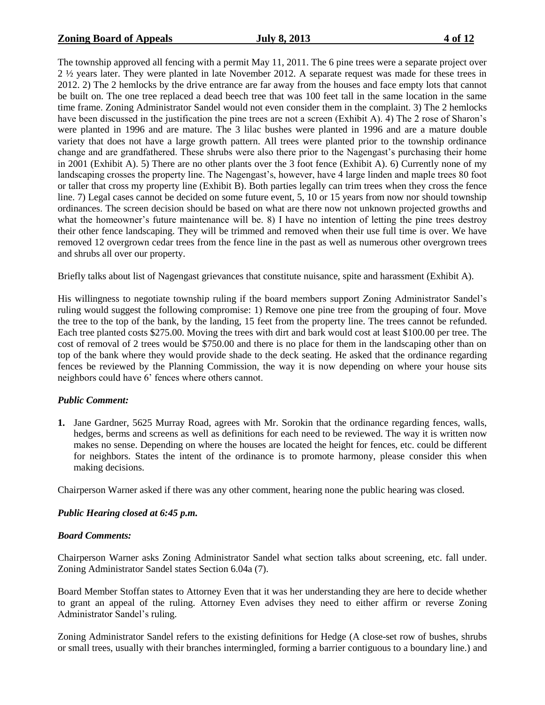The township approved all fencing with a permit May 11, 2011. The 6 pine trees were a separate project over 2 ½ years later. They were planted in late November 2012. A separate request was made for these trees in 2012. 2) The 2 hemlocks by the drive entrance are far away from the houses and face empty lots that cannot be built on. The one tree replaced a dead beech tree that was 100 feet tall in the same location in the same time frame. Zoning Administrator Sandel would not even consider them in the complaint. 3) The 2 hemlocks have been discussed in the justification the pine trees are not a screen (Exhibit A). 4) The 2 rose of Sharon's were planted in 1996 and are mature. The 3 lilac bushes were planted in 1996 and are a mature double variety that does not have a large growth pattern. All trees were planted prior to the township ordinance change and are grandfathered. These shrubs were also there prior to the Nagengast's purchasing their home in 2001 (Exhibit A). 5) There are no other plants over the 3 foot fence (Exhibit A). 6) Currently none of my landscaping crosses the property line. The Nagengast's, however, have 4 large linden and maple trees 80 foot or taller that cross my property line (Exhibit B). Both parties legally can trim trees when they cross the fence line. 7) Legal cases cannot be decided on some future event, 5, 10 or 15 years from now nor should township ordinances. The screen decision should be based on what are there now not unknown projected growths and what the homeowner's future maintenance will be. 8) I have no intention of letting the pine trees destroy their other fence landscaping. They will be trimmed and removed when their use full time is over. We have removed 12 overgrown cedar trees from the fence line in the past as well as numerous other overgrown trees and shrubs all over our property.

Briefly talks about list of Nagengast grievances that constitute nuisance, spite and harassment (Exhibit A).

His willingness to negotiate township ruling if the board members support Zoning Administrator Sandel's ruling would suggest the following compromise: 1) Remove one pine tree from the grouping of four. Move the tree to the top of the bank, by the landing, 15 feet from the property line. The trees cannot be refunded. Each tree planted costs \$275.00. Moving the trees with dirt and bark would cost at least \$100.00 per tree. The cost of removal of 2 trees would be \$750.00 and there is no place for them in the landscaping other than on top of the bank where they would provide shade to the deck seating. He asked that the ordinance regarding fences be reviewed by the Planning Commission, the way it is now depending on where your house sits neighbors could have 6' fences where others cannot.

# *Public Comment:*

**1.** Jane Gardner, 5625 Murray Road, agrees with Mr. Sorokin that the ordinance regarding fences, walls, hedges, berms and screens as well as definitions for each need to be reviewed. The way it is written now makes no sense. Depending on where the houses are located the height for fences, etc. could be different for neighbors. States the intent of the ordinance is to promote harmony, please consider this when making decisions.

Chairperson Warner asked if there was any other comment, hearing none the public hearing was closed.

# *Public Hearing closed at 6:45 p.m.*

# *Board Comments:*

Chairperson Warner asks Zoning Administrator Sandel what section talks about screening, etc. fall under. Zoning Administrator Sandel states Section 6.04a (7).

Board Member Stoffan states to Attorney Even that it was her understanding they are here to decide whether to grant an appeal of the ruling. Attorney Even advises they need to either affirm or reverse Zoning Administrator Sandel's ruling.

Zoning Administrator Sandel refers to the existing definitions for Hedge (A close-set row of bushes, shrubs or small trees, usually with their branches intermingled, forming a barrier contiguous to a boundary line.) and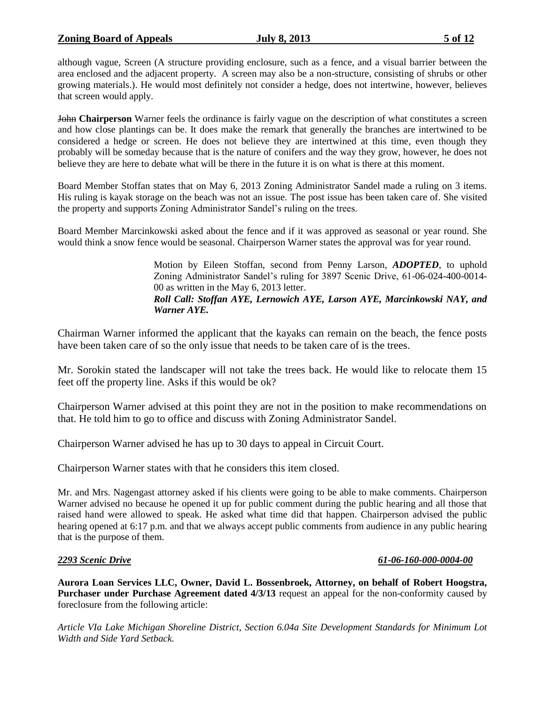although vague, Screen (A structure providing enclosure, such as a fence, and a visual barrier between the area enclosed and the adjacent property. A screen may also be a non-structure, consisting of shrubs or other growing materials.). He would most definitely not consider a hedge, does not intertwine, however, believes that screen would apply.

John **Chairperson** Warner feels the ordinance is fairly vague on the description of what constitutes a screen and how close plantings can be. It does make the remark that generally the branches are intertwined to be considered a hedge or screen. He does not believe they are intertwined at this time, even though they probably will be someday because that is the nature of conifers and the way they grow, however, he does not believe they are here to debate what will be there in the future it is on what is there at this moment.

Board Member Stoffan states that on May 6, 2013 Zoning Administrator Sandel made a ruling on 3 items. His ruling is kayak storage on the beach was not an issue. The post issue has been taken care of. She visited the property and supports Zoning Administrator Sandel's ruling on the trees.

Board Member Marcinkowski asked about the fence and if it was approved as seasonal or year round. She would think a snow fence would be seasonal. Chairperson Warner states the approval was for year round.

> Motion by Eileen Stoffan, second from Penny Larson, *ADOPTED*, to uphold Zoning Administrator Sandel's ruling for 3897 Scenic Drive, 61-06-024-400-0014- 00 as written in the May 6, 2013 letter. *Roll Call: Stoffan AYE, Lernowich AYE, Larson AYE, Marcinkowski NAY, and Warner AYE.*

Chairman Warner informed the applicant that the kayaks can remain on the beach, the fence posts have been taken care of so the only issue that needs to be taken care of is the trees.

Mr. Sorokin stated the landscaper will not take the trees back. He would like to relocate them 15 feet off the property line. Asks if this would be ok?

Chairperson Warner advised at this point they are not in the position to make recommendations on that. He told him to go to office and discuss with Zoning Administrator Sandel.

Chairperson Warner advised he has up to 30 days to appeal in Circuit Court.

Chairperson Warner states with that he considers this item closed.

Mr. and Mrs. Nagengast attorney asked if his clients were going to be able to make comments. Chairperson Warner advised no because he opened it up for public comment during the public hearing and all those that raised hand were allowed to speak. He asked what time did that happen. Chairperson advised the public hearing opened at 6:17 p.m. and that we always accept public comments from audience in any public hearing that is the purpose of them.

# *2293 Scenic Drive 61-06-160-000-0004-00*

**Aurora Loan Services LLC, Owner, David L. Bossenbroek, Attorney, on behalf of Robert Hoogstra, Purchaser under Purchase Agreement dated 4/3/13** request an appeal for the non-conformity caused by foreclosure from the following article:

*Article VIa Lake Michigan Shoreline District, Section 6.04a Site Development Standards for Minimum Lot Width and Side Yard Setback.*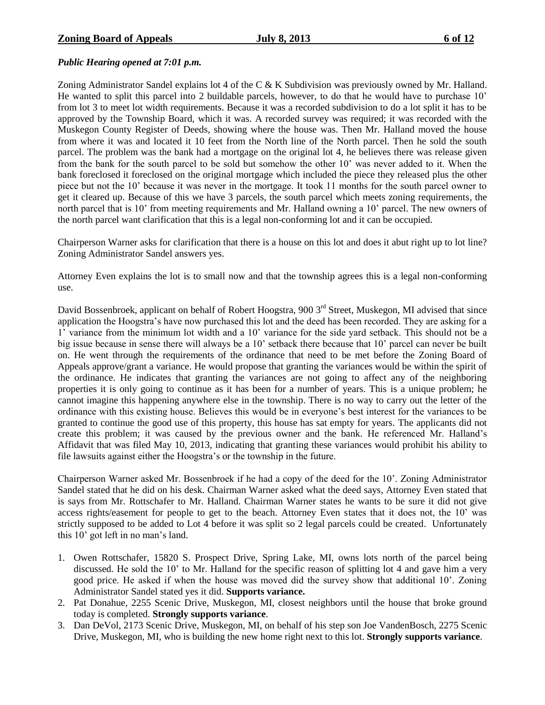# *Public Hearing opened at 7:01 p.m.*

Zoning Administrator Sandel explains lot 4 of the C  $&$  K Subdivision was previously owned by Mr. Halland. He wanted to split this parcel into 2 buildable parcels, however, to do that he would have to purchase 10' from lot 3 to meet lot width requirements. Because it was a recorded subdivision to do a lot split it has to be approved by the Township Board, which it was. A recorded survey was required; it was recorded with the Muskegon County Register of Deeds, showing where the house was. Then Mr. Halland moved the house from where it was and located it 10 feet from the North line of the North parcel. Then he sold the south parcel. The problem was the bank had a mortgage on the original lot 4, he believes there was release given from the bank for the south parcel to be sold but somehow the other 10' was never added to it. When the bank foreclosed it foreclosed on the original mortgage which included the piece they released plus the other piece but not the 10' because it was never in the mortgage. It took 11 months for the south parcel owner to get it cleared up. Because of this we have 3 parcels, the south parcel which meets zoning requirements, the north parcel that is 10' from meeting requirements and Mr. Halland owning a 10' parcel. The new owners of the north parcel want clarification that this is a legal non-conforming lot and it can be occupied.

Chairperson Warner asks for clarification that there is a house on this lot and does it abut right up to lot line? Zoning Administrator Sandel answers yes.

Attorney Even explains the lot is to small now and that the township agrees this is a legal non-conforming use.

David Bossenbroek, applicant on behalf of Robert Hoogstra, 900 3<sup>rd</sup> Street, Muskegon, MI advised that since application the Hoogstra's have now purchased this lot and the deed has been recorded. They are asking for a 1' variance from the minimum lot width and a 10' variance for the side yard setback. This should not be a big issue because in sense there will always be a 10' setback there because that 10' parcel can never be built on. He went through the requirements of the ordinance that need to be met before the Zoning Board of Appeals approve/grant a variance. He would propose that granting the variances would be within the spirit of the ordinance. He indicates that granting the variances are not going to affect any of the neighboring properties it is only going to continue as it has been for a number of years. This is a unique problem; he cannot imagine this happening anywhere else in the township. There is no way to carry out the letter of the ordinance with this existing house. Believes this would be in everyone's best interest for the variances to be granted to continue the good use of this property, this house has sat empty for years. The applicants did not create this problem; it was caused by the previous owner and the bank. He referenced Mr. Halland's Affidavit that was filed May 10, 2013, indicating that granting these variances would prohibit his ability to file lawsuits against either the Hoogstra's or the township in the future.

Chairperson Warner asked Mr. Bossenbroek if he had a copy of the deed for the 10'. Zoning Administrator Sandel stated that he did on his desk. Chairman Warner asked what the deed says, Attorney Even stated that is says from Mr. Rottschafer to Mr. Halland. Chairman Warner states he wants to be sure it did not give access rights/easement for people to get to the beach. Attorney Even states that it does not, the 10' was strictly supposed to be added to Lot 4 before it was split so 2 legal parcels could be created. Unfortunately this 10' got left in no man's land.

- 1. Owen Rottschafer, 15820 S. Prospect Drive, Spring Lake, MI, owns lots north of the parcel being discussed. He sold the 10' to Mr. Halland for the specific reason of splitting lot 4 and gave him a very good price. He asked if when the house was moved did the survey show that additional 10'. Zoning Administrator Sandel stated yes it did. **Supports variance.**
- 2. Pat Donahue, 2255 Scenic Drive, Muskegon, MI, closest neighbors until the house that broke ground today is completed. **Strongly supports variance**.
- 3. Dan DeVol, 2173 Scenic Drive, Muskegon, MI, on behalf of his step son Joe VandenBosch, 2275 Scenic Drive, Muskegon, MI, who is building the new home right next to this lot. **Strongly supports variance**.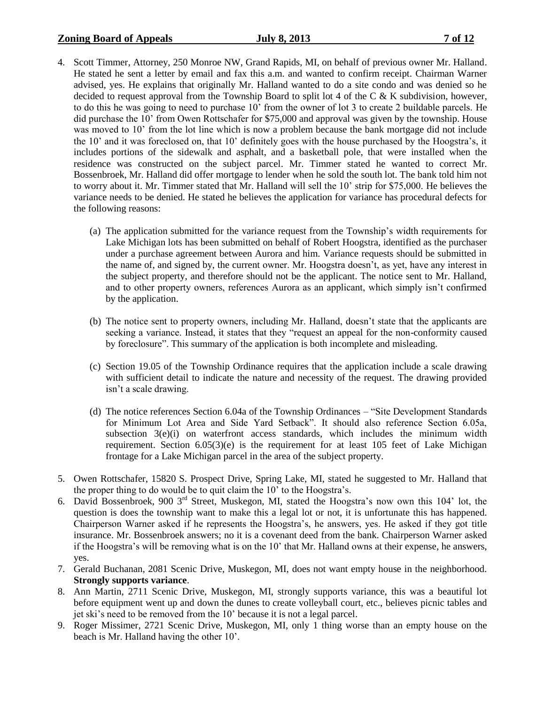# **Zoning Board of Appeals July 8, 2013 7 of 12**

- 4. Scott Timmer, Attorney, 250 Monroe NW, Grand Rapids, MI, on behalf of previous owner Mr. Halland. He stated he sent a letter by email and fax this a.m. and wanted to confirm receipt. Chairman Warner advised, yes. He explains that originally Mr. Halland wanted to do a site condo and was denied so he decided to request approval from the Township Board to split lot 4 of the C & K subdivision, however, to do this he was going to need to purchase 10' from the owner of lot 3 to create 2 buildable parcels. He did purchase the 10' from Owen Rottschafer for \$75,000 and approval was given by the township. House was moved to 10<sup>'</sup> from the lot line which is now a problem because the bank mortgage did not include the 10' and it was foreclosed on, that 10' definitely goes with the house purchased by the Hoogstra's, it includes portions of the sidewalk and asphalt, and a basketball pole, that were installed when the residence was constructed on the subject parcel. Mr. Timmer stated he wanted to correct Mr. Bossenbroek, Mr. Halland did offer mortgage to lender when he sold the south lot. The bank told him not to worry about it. Mr. Timmer stated that Mr. Halland will sell the 10' strip for \$75,000. He believes the variance needs to be denied. He stated he believes the application for variance has procedural defects for the following reasons:
	- (a) The application submitted for the variance request from the Township's width requirements for Lake Michigan lots has been submitted on behalf of Robert Hoogstra, identified as the purchaser under a purchase agreement between Aurora and him. Variance requests should be submitted in the name of, and signed by, the current owner. Mr. Hoogstra doesn't, as yet, have any interest in the subject property, and therefore should not be the applicant. The notice sent to Mr. Halland, and to other property owners, references Aurora as an applicant, which simply isn't confirmed by the application.
	- (b) The notice sent to property owners, including Mr. Halland, doesn't state that the applicants are seeking a variance. Instead, it states that they "request an appeal for the non-conformity caused by foreclosure". This summary of the application is both incomplete and misleading.
	- (c) Section 19.05 of the Township Ordinance requires that the application include a scale drawing with sufficient detail to indicate the nature and necessity of the request. The drawing provided isn't a scale drawing.
	- (d) The notice references Section 6.04a of the Township Ordinances "Site Development Standards for Minimum Lot Area and Side Yard Setback". It should also reference Section 6.05a, subsection  $3(e)(i)$  on waterfront access standards, which includes the minimum width requirement. Section 6.05(3)(e) is the requirement for at least 105 feet of Lake Michigan frontage for a Lake Michigan parcel in the area of the subject property.
- 5. Owen Rottschafer, 15820 S. Prospect Drive, Spring Lake, MI, stated he suggested to Mr. Halland that the proper thing to do would be to quit claim the 10' to the Hoogstra's.
- 6. David Bossenbroek, 900 3rd Street, Muskegon, MI, stated the Hoogstra's now own this 104' lot, the question is does the township want to make this a legal lot or not, it is unfortunate this has happened. Chairperson Warner asked if he represents the Hoogstra's, he answers, yes. He asked if they got title insurance. Mr. Bossenbroek answers; no it is a covenant deed from the bank. Chairperson Warner asked if the Hoogstra's will be removing what is on the 10' that Mr. Halland owns at their expense, he answers, yes.
- 7. Gerald Buchanan, 2081 Scenic Drive, Muskegon, MI, does not want empty house in the neighborhood. **Strongly supports variance**.
- 8. Ann Martin, 2711 Scenic Drive, Muskegon, MI, strongly supports variance, this was a beautiful lot before equipment went up and down the dunes to create volleyball court, etc., believes picnic tables and jet ski's need to be removed from the 10' because it is not a legal parcel.
- 9. Roger Missimer, 2721 Scenic Drive, Muskegon, MI, only 1 thing worse than an empty house on the beach is Mr. Halland having the other 10'.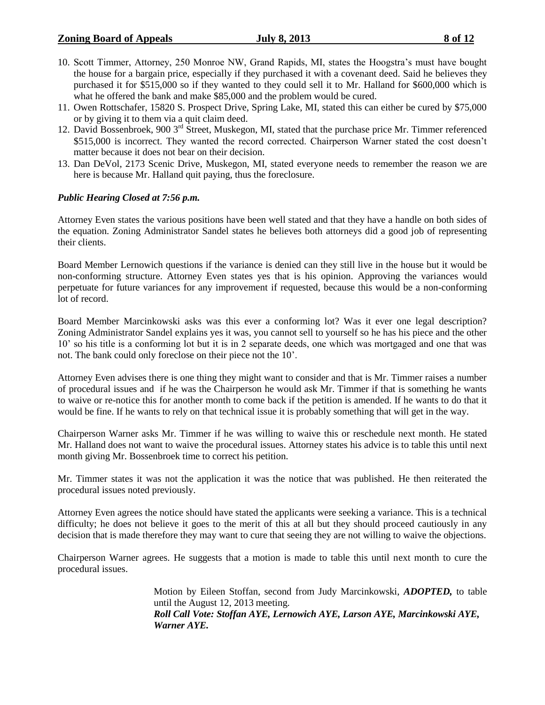# **Zoning Board of Appeals July 8, 2013 8 of 12**

- 
- 10. Scott Timmer, Attorney, 250 Monroe NW, Grand Rapids, MI, states the Hoogstra's must have bought the house for a bargain price, especially if they purchased it with a covenant deed. Said he believes they purchased it for \$515,000 so if they wanted to they could sell it to Mr. Halland for \$600,000 which is what he offered the bank and make \$85,000 and the problem would be cured.
- 11. Owen Rottschafer, 15820 S. Prospect Drive, Spring Lake, MI, stated this can either be cured by \$75,000 or by giving it to them via a quit claim deed.
- 12. David Bossenbroek, 900 3<sup>rd</sup> Street, Muskegon, MI, stated that the purchase price Mr. Timmer referenced \$515,000 is incorrect. They wanted the record corrected. Chairperson Warner stated the cost doesn't matter because it does not bear on their decision.
- 13. Dan DeVol, 2173 Scenic Drive, Muskegon, MI, stated everyone needs to remember the reason we are here is because Mr. Halland quit paying, thus the foreclosure.

# *Public Hearing Closed at 7:56 p.m.*

Attorney Even states the various positions have been well stated and that they have a handle on both sides of the equation. Zoning Administrator Sandel states he believes both attorneys did a good job of representing their clients.

Board Member Lernowich questions if the variance is denied can they still live in the house but it would be non-conforming structure. Attorney Even states yes that is his opinion. Approving the variances would perpetuate for future variances for any improvement if requested, because this would be a non-conforming lot of record.

Board Member Marcinkowski asks was this ever a conforming lot? Was it ever one legal description? Zoning Administrator Sandel explains yes it was, you cannot sell to yourself so he has his piece and the other 10' so his title is a conforming lot but it is in 2 separate deeds, one which was mortgaged and one that was not. The bank could only foreclose on their piece not the 10'.

Attorney Even advises there is one thing they might want to consider and that is Mr. Timmer raises a number of procedural issues and if he was the Chairperson he would ask Mr. Timmer if that is something he wants to waive or re-notice this for another month to come back if the petition is amended. If he wants to do that it would be fine. If he wants to rely on that technical issue it is probably something that will get in the way.

Chairperson Warner asks Mr. Timmer if he was willing to waive this or reschedule next month. He stated Mr. Halland does not want to waive the procedural issues. Attorney states his advice is to table this until next month giving Mr. Bossenbroek time to correct his petition.

Mr. Timmer states it was not the application it was the notice that was published. He then reiterated the procedural issues noted previously.

Attorney Even agrees the notice should have stated the applicants were seeking a variance. This is a technical difficulty; he does not believe it goes to the merit of this at all but they should proceed cautiously in any decision that is made therefore they may want to cure that seeing they are not willing to waive the objections.

Chairperson Warner agrees. He suggests that a motion is made to table this until next month to cure the procedural issues.

> Motion by Eileen Stoffan, second from Judy Marcinkowski, *ADOPTED,* to table until the August 12, 2013 meeting. *Roll Call Vote: Stoffan AYE, Lernowich AYE, Larson AYE, Marcinkowski AYE, Warner AYE.*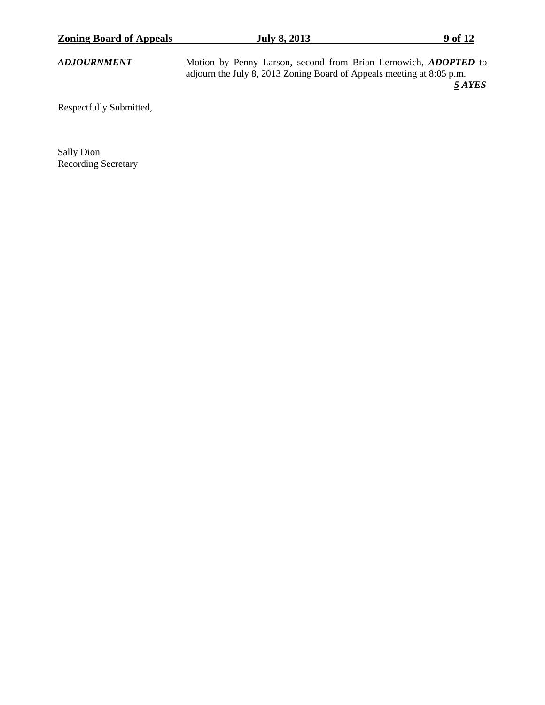| <b>Zoning Board of Appeals</b> | <b>July 8, 2013</b>                                                                                                                             | 9 of 12 |
|--------------------------------|-------------------------------------------------------------------------------------------------------------------------------------------------|---------|
| <b>ADJOURNMENT</b>             | Motion by Penny Larson, second from Brian Lernowich, <i>ADOPTED</i> to<br>adjourn the July 8, 2013 Zoning Board of Appeals meeting at 8:05 p.m. |         |
|                                |                                                                                                                                                 | 5 AYES  |
| Respectfully Submitted,        |                                                                                                                                                 |         |

Sally Dion Recording Secretary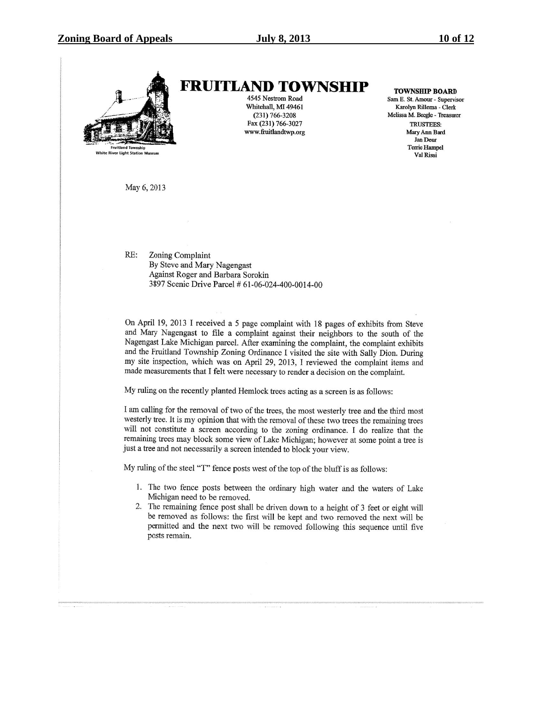

**FRUITLAND TOWNSHIP** 4545 Nestrom Road

Whitehall, MI 49461  $(231) 766 - 3208$ Fax (231) 766-3027 www.fruitlandtwp.org **TOWNSHIP BOARD** 

Sam E. St. Amour - Supervisor Karolyn Rillema - Clerk Melissa M. Beegle - Treasurer **TRUSTEES:** Mary Ann Bard Jan Deur **Terrie Hampel** Val Rissi

May 6, 2013

RE: Zoning Complaint By Steve and Mary Nagengast Against Roger and Barbara Sorokin 3897 Scenic Drive Parcel # 61-06-024-400-0014-00

On April 19, 2013 I received a 5 page complaint with 18 pages of exhibits from Steve and Mary Nagengast to file a complaint against their neighbors to the south of the Nagengast Lake Michigan parcel. After examining the complaint, the complaint exhibits and the Fruitland Township Zoning Ordinance I visited the site with Sally Dion. During my site inspection, which was on April 29, 2013, I reviewed the complaint items and made measurements that I felt were necessary to render a decision on the complaint.

My ruling on the recently planted Hemlock trees acting as a screen is as follows:

I am calling for the removal of two of the trees, the most westerly tree and the third most westerly tree. It is my opinion that with the removal of these two trees the remaining trees will not constitute a screen according to the zoning ordinance. I do realize that the remaining trees may block some view of Lake Michigan; however at some point a tree is just a tree and not necessarily a screen intended to block your view.

My ruling of the steel "T" fence posts west of the top of the bluff is as follows:

- 1. The two fence posts between the ordinary high water and the waters of Lake Michigan need to be removed.
- 2. The remaining fence post shall be driven down to a height of 3 feet or eight will be removed as follows: the first will be kept and two removed the next will be permitted and the next two will be removed following this sequence until five posts remain.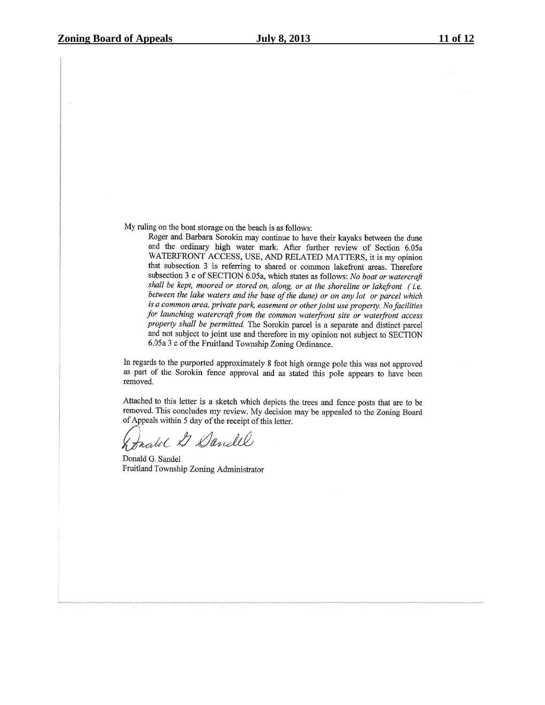My ruling on the boat storage on the beach is as follows:

Roger and Barbara Sorokin may continue to have their kayaks between the dune and the ordinary high water mark. After further review of Section 6.05a WATERFRONT ACCESS, USE, AND RELATED MATTERS, it is my opinion that subsection 3 is referring to shared or common lakefront areas. Therefore subsection 3 c of SECTION 6.05a, which states as follows: No boat or watercraft shall be kept, moored or stored on, along, or at the shoreline or lakefront (i.e. between the lake waters and the base of the dune) or on any lot or parcel which is a common area, private park, easement or other joint use property. No facilities for launching watercraft from the common waterfront site or waterfront access property shall be permitted. The Sorokin parcel is a separate and distinct parcel and not subject to joint use and therefore in my opinion not subject to SECTION 6.05a 3 c of the Fruitland Township Zoning Ordinance.

In regards to the purported approximately 8 foot high orange pole this was not approved as part of the Sorokin fence approval and as stated this pole appears to have been removed.

Attached to this letter is a sketch which depicts the trees and fence posts that are to be removed. This concludes my review. My decision may be appealed to the Zoning Board of Appeals within 5 day of the receipt of this letter.

Erated & Dandel

Donald G. Sandel Fruitland Township Zoning Administrator